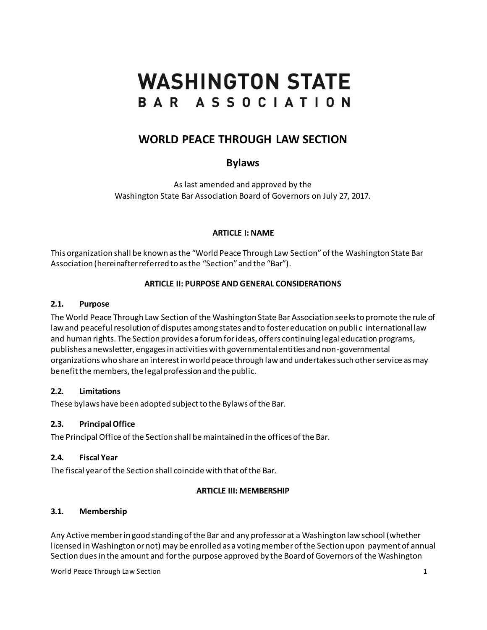# **WASHINGTON STATE** BAR ASSOCIATION

# **WORLD PEACE THROUGH LAW SECTION**

# **Bylaws**

As last amended and approved by the Washington State Bar Association Board of Governors on July 27, 2017.

# **ARTICLE I: NAME**

This organization shall be known as the "World Peace Through Law Section" of the Washington State Bar Association (hereinafter referred to as the "Section" and the "Bar").

# **ARTICLE II: PURPOSE AND GENERAL CONSIDERATIONS**

# **2.1. Purpose**

The World Peace Through Law Section of the Washington State Bar Association seeks to promote the rule of law and peaceful resolution of disputes among states and to foster education on publi c international law and human rights. The Section provides a forum for ideas, offers continuing legal education programs, publishes a newsletter, engages in activities with governmental entities and non-governmental organizations who share an interest in world peace through law and undertakes such other service as may benefit the members, the legal profession and the public.

# **2.2. Limitations**

These bylaws have been adopted subject to the Bylaws of the Bar.

# **2.3. Principal Office**

The Principal Office of the Section shall be maintained in the offices of the Bar.

# **2.4. Fiscal Year**

The fiscal year of the Section shall coincide with that of the Bar.

#### **ARTICLE III: MEMBERSHIP**

# **3.1. Membership**

Any Active member in good standing of the Bar and any professor at a Washington law school (whether licensed in Washington or not) may be enrolled as a voting member of the Section upon payment of annual Section dues in the amount and for the purpose approved by the Board of Governors of the Washington

World Peace Through Law Section 1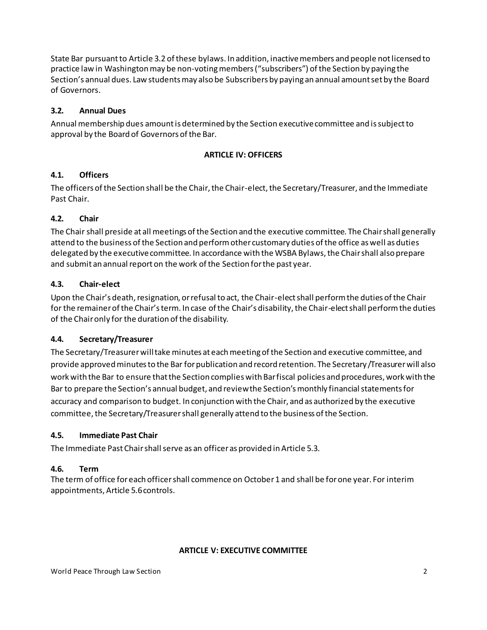State Bar pursuant to Article 3.2 of these bylaws. In addition, inactive members and people not licensed to practice law in Washington may be non-voting members ("subscribers") of the Section by paying the Section's annual dues. Law students may also be Subscribers by paying an annual amount set by the Board of Governors.

# **3.2. Annual Dues**

Annual membership dues amount is determined by the Section executive committee and is subject to approval by the Board of Governors of the Bar.

#### **ARTICLE IV: OFFICERS**

#### **4.1. Officers**

The officers of the Section shall be the Chair, the Chair-elect, the Secretary/Treasurer, and the Immediate Past Chair.

#### **4.2. Chair**

The Chair shall preside at all meetings of the Section and the executive committee. The Chair shall generally attend to the business of the Section and perform other customary duties of the office as well as duties delegated by the executive committee. In accordance with the WSBA Bylaws, the Chair shall also prepare and submit an annual report on the work of the Section for the past year.

#### **4.3. Chair-elect**

Upon the Chair's death, resignation, or refusal to act, the Chair-elect shall perform the duties of the Chair for the remainer of the Chair's term. In case of the Chair's disability, the Chair-elect shall perform the duties of the Chair only for the duration of the disability.

#### **4.4. Secretary/Treasurer**

The Secretary/Treasurer will take minutes at each meeting of the Section and executive committee, and provide approved minutes to the Bar for publication and record retention. The Secretary /Treasurer will also work with the Bar to ensure that the Section complies with Bar fiscal policies and procedures, work with the Bar to prepare the Section's annual budget, and review the Section's monthly financial statements for accuracy and comparison to budget. In conjunction with the Chair, and as authorized by the executive committee, the Secretary/Treasurer shall generally attend to the business of the Section.

#### **4.5. Immediate Past Chair**

The Immediate Past Chair shall serve as an officer as provided in Article 5.3.

# **4.6. Term**

The term of office for each officer shall commence on October 1 and shall be for one year. For interim appointments, Article 5.6 controls.

#### **ARTICLE V: EXECUTIVE COMMITTEE**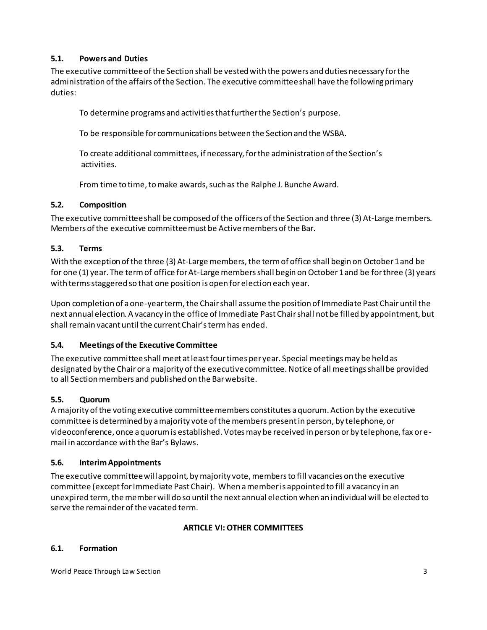# **5.1. Powers and Duties**

The executive committee of the Section shall be vested with the powers and duties necessary for the administration of the affairs of the Section. The executive committee shall have the following primary duties:

To determine programs and activities that further the Section's purpose.

To be responsible for communications between the Section and the WSBA.

To create additional committees, if necessary, for the administration of the Section's activities.

From time to time, to make awards, such as the Ralphe J. Bunche Award.

# **5.2. Composition**

The executive committee shall be composed of the officers of the Section and three (3) At-Large members. Members of the executive committee must be Active members of the Bar.

# **5.3. Terms**

With the exception of the three (3) At-Large members, the term of office shall begin on October 1 and be for one (1) year. The term of office for At-Large members shall begin on October 1 and be for three (3) years with terms staggered so that one position is open for election each year.

Upon completion of a one-year term, the Chair shall assume the position of Immediate Past Chair until the next annual election. A vacancy in the office of Immediate Past Chair shall not be filled by appointment, but shall remain vacant until the current Chair's term has ended.

# **5.4. Meetings of the Executive Committee**

The executive committee shall meet at least four times per year. Special meetings may be held as designated by the Chair or a majority of the executive committee.Notice of all meetings shall be provided to all Section members and published on the Bar website.

# **5.5. Quorum**

A majority of the voting executive committee members constitutes a quorum. Action by the executive committee is determined by a majority vote of the members present in person, by telephone, or videoconference, once a quorum is established. Votes may be received in person or by telephone, fax or email in accordance with the Bar's Bylaws.

#### **5.6. Interim Appointments**

The executive committee will appoint, by majority vote, members to fill vacancies on the executive committee (except for Immediate Past Chair). When a member is appointed to fill a vacancy in an unexpired term, the member will do so until the next annual election when an individual will be elected to serve the remainder of the vacated term.

#### **ARTICLE VI: OTHER COMMITTEES**

#### **6.1. Formation**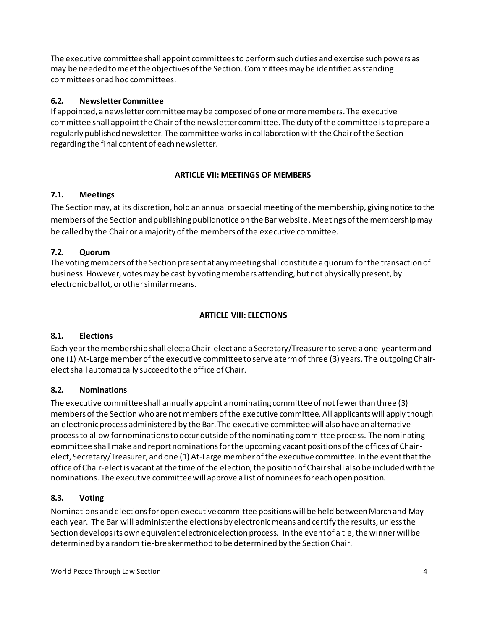The executive committee shall appoint committees to perform such duties and exercise such powers as may be needed to meet the objectives of the Section. Committees may be identified as standing committees or ad hoc committees.

# **6.2. Newsletter Committee**

If appointed, a newsletter committee may be composed of one or more members. The executive committee shall appoint the Chair of the newsletter committee. The duty of the committee is to prepare a regularly published newsletter. The committee works in collaboration with the Chair of the Section regarding the final content of each newsletter.

# **ARTICLE VII: MEETINGS OF MEMBERS**

# **7.1. Meetings**

The Section may, at its discretion, hold an annual or special meeting of the membership, giving notice to the members of the Section and publishing public notice on the Bar website. Meetings of the membership may be called by the Chair or a majority of the members of the executive committee.

# **7.2. Quorum**

The voting members of the Section present at any meeting shall constitute a quorum for the transaction of business. However, votes may be cast by voting members attending, but not physically present, by electronic ballot, or other similar means.

# **ARTICLE VIII: ELECTIONS**

# **8.1. Elections**

Each year the membership shall elect a Chair-elect and a Secretary/Treasurer to serve a one-year term and one (1) At-Large member of the executive committee to serve a term of three (3) years. The outgoing Chairelect shall automatically succeed to the office of Chair.

# **8.2. Nominations**

The executive committee shall annually appoint a nominating committee of not fewer than three (3) members of the Section who are not members of the executive committee. All applicants will apply though an electronic process administered by the Bar. The executive committee will also have an alternative process to allow for nominations to occur outside of the nominating committee process. The nominating eommittee shall make and report nominations for the upcoming vacant positions of the offices of Chairelect, Secretary/Treasurer, and one (1) At-Large member of the executive committee. In the event that the office of Chair-elect is vacant at the time of the election, the position of Chair shall also be included with the nominations. The executive committee will approve a list of nominees for each open position.

# **8.3. Voting**

Nominations and elections for open executive committee positions will be held between March and May each year. The Bar will administer the elections by electronic means and certify the results, unless the Section develops its own equivalent electronic election process. In the event of a tie, the winner will be determined by a random tie-breaker method to be determined by the Section Chair.